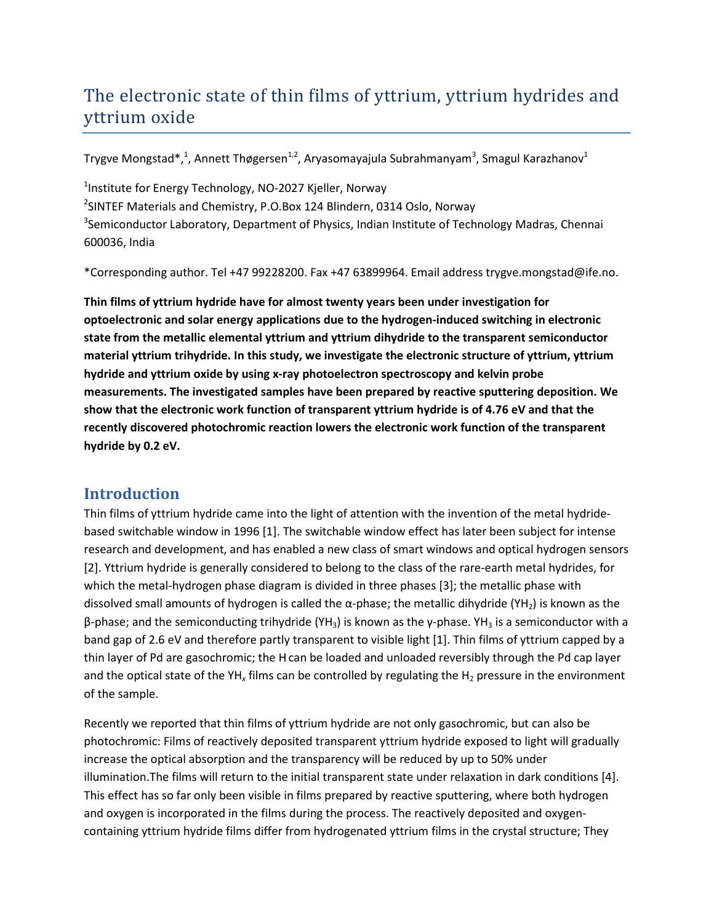# The electronic state of thin films of yttrium, yttrium hydrides and yttrium oxide

Trygve Mongstad $^*,^1$ , Annett Thøgersen $^{1,2}$ , Aryasomayajula Subrahmanyam $^3$ , Smagul Karazhanov $^1$ 

<sup>1</sup>Institute for Energy Technology, NO-2027 Kjeller, Norway <sup>2</sup>SINTEF Materials and Chemistry, P.O.Box 124 Blindern, 0314 Oslo, Norway <sup>3</sup>Semiconductor Laboratory, Department of Physics, Indian Institute of Technology Madras, Chennai 600036, India

\*Corresponding author. Tel +47 99228200. Fax +47 63899964. Email address trygve.mongstad@ife.no.

**Thin films of yttrium hydride have for almost twenty years been under investigation for optoelectronic and solar energy applications due to the hydrogen-induced switching in electronic state from the metallic elemental yttrium and yttrium dihydride to the transparent semiconductor material yttrium trihydride. In this study, we investigate the electronic structure of yttrium, yttrium hydride and yttrium oxide by using x-ray photoelectron spectroscopy and kelvin probe measurements. The investigated samples have been prepared by reactive sputtering deposition. We show that the electronic work function of transparent yttrium hydride is of 4.76 eV and that the recently discovered photochromic reaction lowers the electronic work function of the transparent hydride by 0.2 eV.**

# **Introduction**

Thin films of yttrium hydride came into the light of attention with the invention of the metal hydridebased switchable window in 1996 [1]. The switchable window effect has later been subject for intense research and development, and has enabled a new class of smart windows and optical hydrogen sensors [2]. Yttrium hydride is generally considered to belong to the class of the rare-earth metal hydrides, for which the metal-hydrogen phase diagram is divided in three phases [3]; the metallic phase with dissolved small amounts of hydrogen is called the  $\alpha$ -phase; the metallic dihydride (YH<sub>2</sub>) is known as the β-phase; and the semiconducting trihydride (YH<sub>3</sub>) is known as the γ-phase. YH<sub>3</sub> is a semiconductor with a band gap of 2.6 eV and therefore partly transparent to visible light [1]. Thin films of yttrium capped by a thin layer of Pd are gasochromic; the Hcan be loaded and unloaded reversibly through the Pd cap layer and the optical state of the YH<sub>x</sub> films can be controlled by regulating the H<sub>2</sub> pressure in the environment of the sample.

Recently we reported that thin films of yttrium hydride are not only gasochromic, but can also be photochromic: Films of reactively deposited transparent yttrium hydride exposed to light will gradually increase the optical absorption and the transparency will be reduced by up to 50% under illumination.The films will return to the initial transparent state under relaxation in dark conditions [4]. This effect has so far only been visible in films prepared by reactive sputtering, where both hydrogen and oxygen is incorporated in the films during the process. The reactively deposited and oxygencontaining yttrium hydride films differ from hydrogenated yttrium films in the crystal structure; They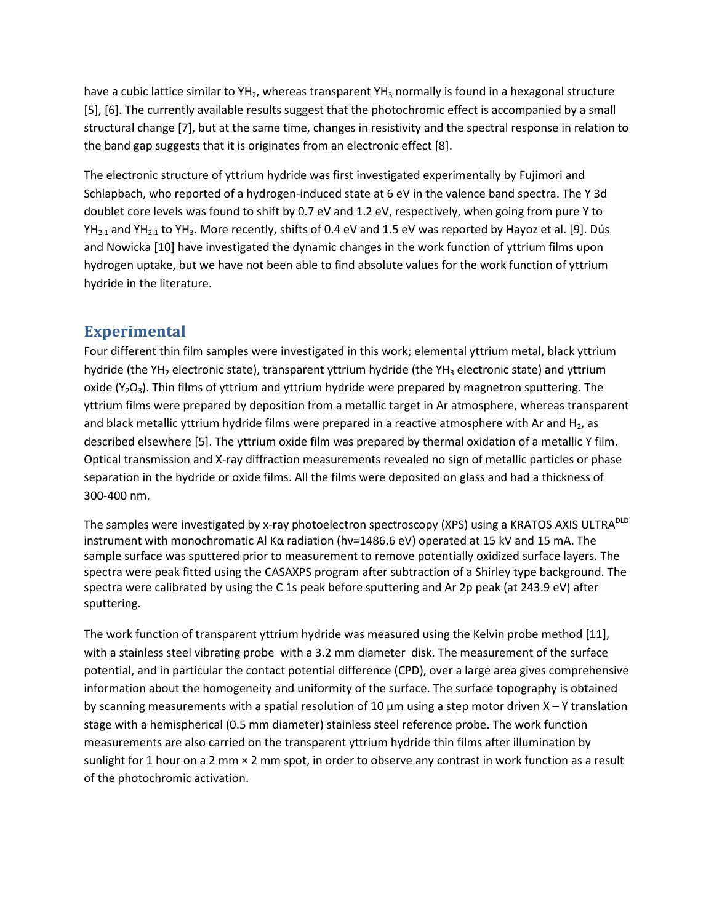have a cubic lattice similar to  $YH_2$ , whereas transparent  $YH_3$  normally is found in a hexagonal structure [5], [6]. The currently available results suggest that the photochromic effect is accompanied by a small structural change [7], but at the same time, changes in resistivity and the spectral response in relation to the band gap suggests that it is originates from an electronic effect [8].

The electronic structure of yttrium hydride was first investigated experimentally by Fujimori and Schlapbach, who reported of a hydrogen-induced state at 6 eV in the valence band spectra. The Y 3d doublet core levels was found to shift by 0.7 eV and 1.2 eV, respectively, when going from pure Y to  $YH_{2,1}$  and  $YH_{2,1}$  to  $YH_3$ . More recently, shifts of 0.4 eV and 1.5 eV was reported by Hayoz et al. [9]. Dús and Nowicka [10] have investigated the dynamic changes in the work function of yttrium films upon hydrogen uptake, but we have not been able to find absolute values for the work function of yttrium hydride in the literature.

# **Experimental**

Four different thin film samples were investigated in this work; elemental yttrium metal, black yttrium hydride (the YH<sub>2</sub> electronic state), transparent yttrium hydride (the YH<sub>3</sub> electronic state) and yttrium oxide ( $Y_2O_3$ ). Thin films of yttrium and yttrium hydride were prepared by magnetron sputtering. The yttrium films were prepared by deposition from a metallic target in Ar atmosphere, whereas transparent and black metallic yttrium hydride films were prepared in a reactive atmosphere with Ar and  $H_2$ , as described elsewhere [5]. The yttrium oxide film was prepared by thermal oxidation of a metallic Y film. Optical transmission and X-ray diffraction measurements revealed no sign of metallic particles or phase separation in the hydride or oxide films. All the films were deposited on glass and had a thickness of 300-400 nm.

The samples were investigated by x-ray photoelectron spectroscopy (XPS) using a KRATOS AXIS ULTRA<sup>DLD</sup> instrument with monochromatic Al Kα radiation (hν=1486.6 eV) operated at 15 kV and 15 mA. The sample surface was sputtered prior to measurement to remove potentially oxidized surface layers. The spectra were peak fitted using the CASAXPS program after subtraction of a Shirley type background. The spectra were calibrated by using the C 1s peak before sputtering and Ar 2p peak (at 243.9 eV) after sputtering.

The work function of transparent yttrium hydride was measured using the Kelvin probe method [11], with a stainless steel vibrating probe with a 3.2 mm diameter disk. The measurement of the surface potential, and in particular the contact potential difference (CPD), over a large area gives comprehensive information about the homogeneity and uniformity of the surface. The surface topography is obtained by scanning measurements with a spatial resolution of 10  $\mu$ m using a step motor driven X – Y translation stage with a hemispherical (0.5 mm diameter) stainless steel reference probe. The work function measurements are also carried on the transparent yttrium hydride thin films after illumination by sunlight for 1 hour on a 2 mm × 2 mm spot, in order to observe any contrast in work function as a result of the photochromic activation.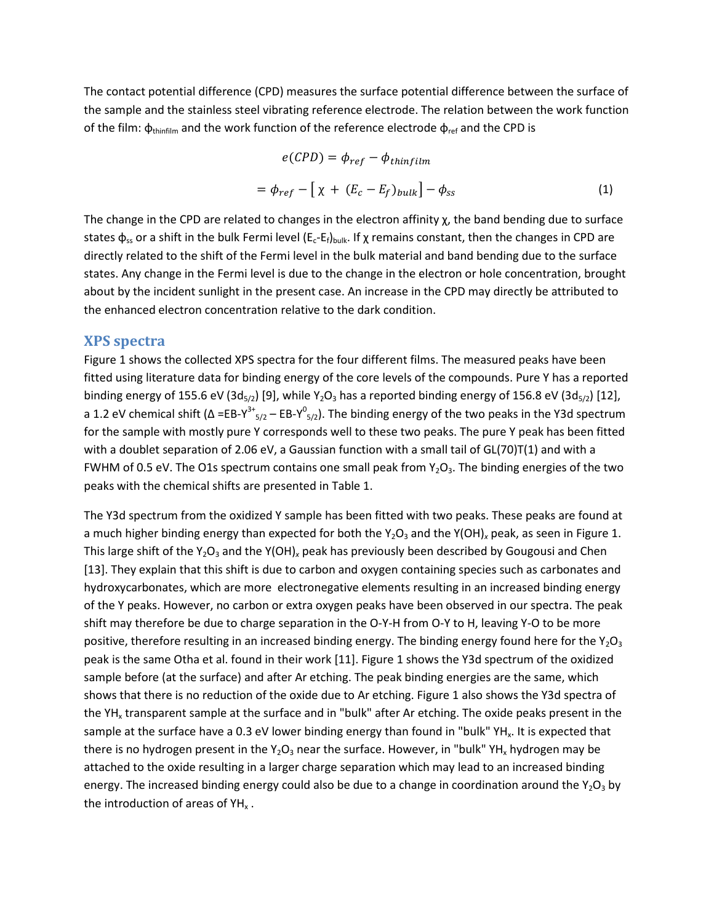The contact potential difference (CPD) measures the surface potential difference between the surface of the sample and the stainless steel vibrating reference electrode. The relation between the work function of the film:  $φ_{thinfilm}$  and the work function of the reference electrode  $φ_{ref}$  and the CPD is

$$
e(CPD) = \phi_{ref} - \phi_{thinfilm}
$$
  
=  $\phi_{ref} - [\chi + (E_c - E_f)_{bulk}] - \phi_{ss}$  (1)

The change in the CPD are related to changes in the electron affinity  $\chi$ , the band bending due to surface states  $\phi_{ss}$  or a shift in the bulk Fermi level (E<sub>c</sub>-E<sub>f</sub>)<sub>bulk</sub>. If  $\chi$  remains constant, then the changes in CPD are directly related to the shift of the Fermi level in the bulk material and band bending due to the surface states. Any change in the Fermi level is due to the change in the electron or hole concentration, brought about by the incident sunlight in the present case. An increase in the CPD may directly be attributed to the enhanced electron concentration relative to the dark condition.

#### **XPS spectra**

Figure 1 shows the collected XPS spectra for the four different films. The measured peaks have been fitted using literature data for binding energy of the core levels of the compounds. Pure Y has a reported binding energy of 155.6 eV (3d<sub>5/2</sub>) [9], while Y<sub>2</sub>O<sub>3</sub> has a reported binding energy of 156.8 eV (3d<sub>5/2</sub>) [12], a 1.2 eV chemical shift ( $\Delta = EB-Y^{3+}_{5/2} - EB-Y^{0}$ <sub>5/2</sub>). The binding energy of the two peaks in the Y3d spectrum for the sample with mostly pure Y corresponds well to these two peaks. The pure Y peak has been fitted with a doublet separation of 2.06 eV, a Gaussian function with a small tail of GL(70)T(1) and with a FWHM of 0.5 eV. The O1s spectrum contains one small peak from  $Y_2O_3$ . The binding energies of the two peaks with the chemical shifts are presented in Table 1.

The Y3d spectrum from the oxidized Y sample has been fitted with two peaks. These peaks are found at a much higher binding energy than expected for both the Y<sub>2</sub>O<sub>3</sub> and the Y(OH)<sub>x</sub> peak, as seen in Figure 1. This large shift of the Y<sub>2</sub>O<sub>3</sub> and the Y(OH)<sub>x</sub> peak has previously been described by Gougousi and Chen [13]. They explain that this shift is due to carbon and oxygen containing species such as carbonates and hydroxycarbonates, which are more electronegative elements resulting in an increased binding energy of the Y peaks. However, no carbon or extra oxygen peaks have been observed in our spectra. The peak shift may therefore be due to charge separation in the O-Y-H from O-Y to H, leaving Y-O to be more positive, therefore resulting in an increased binding energy. The binding energy found here for the  $Y_2O_3$ peak is the same Otha et al. found in their work [11]. Figure 1 shows the Y3d spectrum of the oxidized sample before (at the surface) and after Ar etching. The peak binding energies are the same, which shows that there is no reduction of the oxide due to Ar etching. Figure 1 also shows the Y3d spectra of the YH<sub>x</sub> transparent sample at the surface and in "bulk" after Ar etching. The oxide peaks present in the sample at the surface have a 0.3 eV lower binding energy than found in "bulk"  $YH<sub>x</sub>$ . It is expected that there is no hydrogen present in the  $Y_2O_3$  near the surface. However, in "bulk" YH<sub>x</sub> hydrogen may be attached to the oxide resulting in a larger charge separation which may lead to an increased binding energy. The increased binding energy could also be due to a change in coordination around the  $Y_2O_3$  by the introduction of areas of  $YH<sub>x</sub>$ .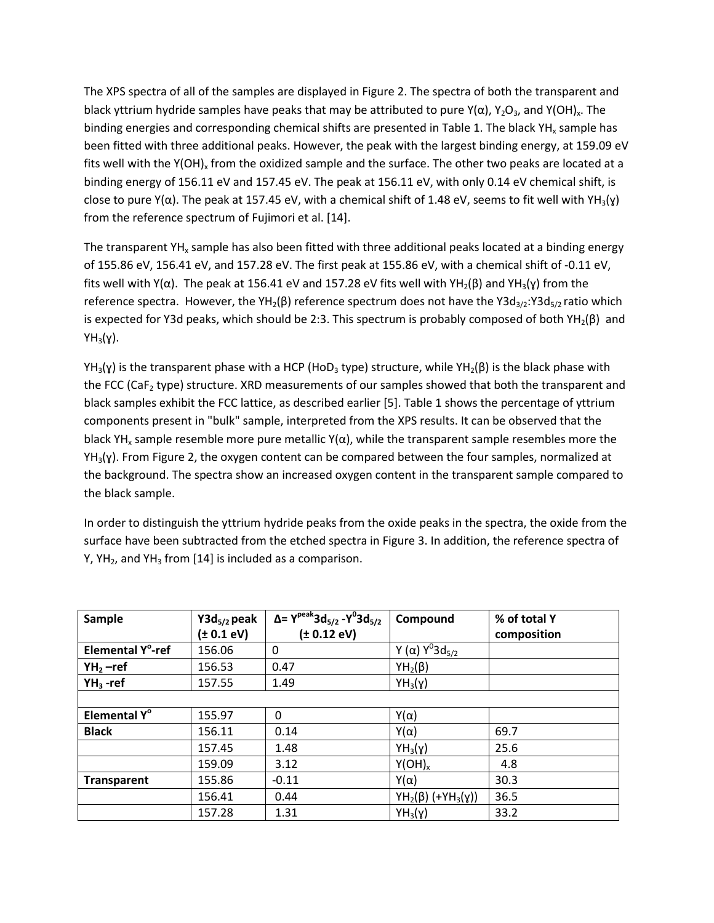The XPS spectra of all of the samples are displayed in Figure 2. The spectra of both the transparent and black yttrium hydride samples have peaks that may be attributed to pure Y( $\alpha$ ), Y<sub>2</sub>O<sub>3</sub>, and Y(OH)<sub>x</sub>. The binding energies and corresponding chemical shifts are presented in Table 1. The black  $YH<sub>x</sub>$  sample has been fitted with three additional peaks. However, the peak with the largest binding energy, at 159.09 eV fits well with the  $Y(OH)_{x}$  from the oxidized sample and the surface. The other two peaks are located at a binding energy of 156.11 eV and 157.45 eV. The peak at 156.11 eV, with only 0.14 eV chemical shift, is close to pure  $Y(\alpha)$ . The peak at 157.45 eV, with a chemical shift of 1.48 eV, seems to fit well with  $YH_3(y)$ from the reference spectrum of Fujimori et al. [14].

The transparent YH<sub>x</sub> sample has also been fitted with three additional peaks located at a binding energy of 155.86 eV, 156.41 eV, and 157.28 eV. The first peak at 155.86 eV, with a chemical shift of -0.11 eV, fits well with Y(α). The peak at 156.41 eV and 157.28 eV fits well with YH<sub>2</sub>(β) and YH<sub>3</sub>(γ) from the reference spectra. However, the YH<sub>2</sub>(β) reference spectrum does not have the Y3d<sub>3/2</sub>:Y3d<sub>5/2</sub> ratio which is expected for Y3d peaks, which should be 2:3. This spectrum is probably composed of both YH<sub>2</sub>( $\beta$ ) and  $YH_3(\gamma)$ .

 $YH_3(Y)$  is the transparent phase with a HCP (HoD<sub>3</sub> type) structure, while  $YH_2(\beta)$  is the black phase with the FCC (Ca $F<sub>2</sub>$  type) structure. XRD measurements of our samples showed that both the transparent and black samples exhibit the FCC lattice, as described earlier [5]. Table 1 shows the percentage of yttrium components present in "bulk" sample, interpreted from the XPS results. It can be observed that the black YH<sub>x</sub> sample resemble more pure metallic Y( $\alpha$ ), while the transparent sample resembles more the  $YH_3(Y)$ . From Figure 2, the oxygen content can be compared between the four samples, normalized at the background. The spectra show an increased oxygen content in the transparent sample compared to the black sample.

In order to distinguish the yttrium hydride peaks from the oxide peaks in the spectra, the oxide from the surface have been subtracted from the etched spectra in Figure 3. In addition, the reference spectra of Y, YH<sub>2</sub>, and YH<sub>3</sub> from [14] is included as a comparison.

| Sample                   | $Y3d_{5/2}$ peak | $\Delta$ = Y <sup>peak</sup> 3d <sub>5/2</sub> - Y <sup>0</sup> 3d <sub>5/2</sub> | Compound                                   | % of total Y |
|--------------------------|------------------|-----------------------------------------------------------------------------------|--------------------------------------------|--------------|
|                          | (± 0.1 eV)       | (± 0.12 eV)                                                                       |                                            | composition  |
| Elemental Y°-ref         | 156.06           | 0                                                                                 | Y (α) $Y^03d_{5/2}$                        |              |
| $YH_2$ –ref              | 156.53           | 0.47                                                                              | $YH_2(\beta)$                              |              |
| $YH_3$ -ref              | 157.55           | 1.49                                                                              | $YH_3(\gamma)$                             |              |
|                          |                  |                                                                                   |                                            |              |
| Elemental Y <sup>°</sup> | 155.97           | $\Omega$                                                                          | $Y(\alpha)$                                |              |
| <b>Black</b>             | 156.11           | 0.14                                                                              | $Y(\alpha)$                                | 69.7         |
|                          | 157.45           | 1.48                                                                              | $YH_3(\gamma)$                             | 25.6         |
|                          | 159.09           | 3.12                                                                              | $Y(OH)_x$                                  | 4.8          |
| <b>Transparent</b>       | 155.86           | $-0.11$                                                                           | $Y(\alpha)$                                | 30.3         |
|                          | 156.41           | 0.44                                                                              | YH <sub>2</sub> (β) (+YH <sub>3</sub> (γ)) | 36.5         |
|                          | 157.28           | 1.31                                                                              | $YH_3(\gamma)$                             | 33.2         |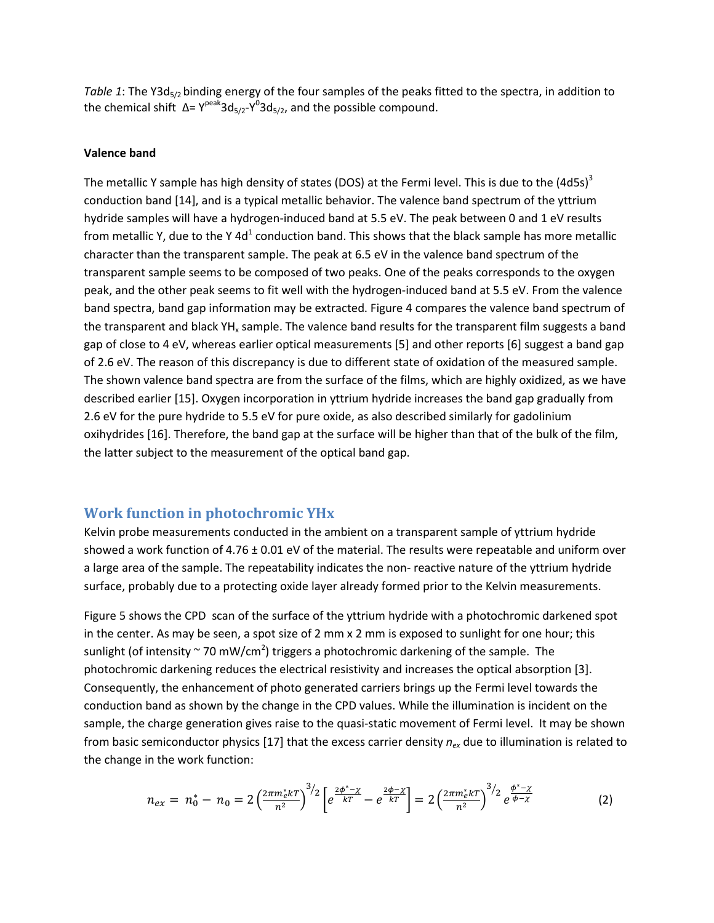*Table 1*: The Y3d<sub>5/2</sub> binding energy of the four samples of the peaks fitted to the spectra, in addition to the chemical shift  $\Delta = Y^{\text{peak}}3d_{5/2}Y^03d_{5/2}$ , and the possible compound.

#### **Valence band**

The metallic Y sample has high density of states (DOS) at the Fermi level. This is due to the  $(4d5s)^3$ conduction band [14], and is a typical metallic behavior. The valence band spectrum of the yttrium hydride samples will have a hydrogen-induced band at 5.5 eV. The peak between 0 and 1 eV results from metallic Y, due to the Y 4d<sup>1</sup> conduction band. This shows that the black sample has more metallic character than the transparent sample. The peak at 6.5 eV in the valence band spectrum of the transparent sample seems to be composed of two peaks. One of the peaks corresponds to the oxygen peak, and the other peak seems to fit well with the hydrogen-induced band at 5.5 eV. From the valence band spectra, band gap information may be extracted. Figure 4 compares the valence band spectrum of the transparent and black  $YH_x$  sample. The valence band results for the transparent film suggests a band gap of close to 4 eV, whereas earlier optical measurements [5] and other reports [6] suggest a band gap of 2.6 eV. The reason of this discrepancy is due to different state of oxidation of the measured sample. The shown valence band spectra are from the surface of the films, which are highly oxidized, as we have described earlier [15]. Oxygen incorporation in yttrium hydride increases the band gap gradually from 2.6 eV for the pure hydride to 5.5 eV for pure oxide, as also described similarly for gadolinium oxihydrides [16]. Therefore, the band gap at the surface will be higher than that of the bulk of the film, the latter subject to the measurement of the optical band gap.

#### **Work function in photochromic YHx**

Kelvin probe measurements conducted in the ambient on a transparent sample of yttrium hydride showed a work function of  $4.76 \pm 0.01$  eV of the material. The results were repeatable and uniform over a large area of the sample. The repeatability indicates the non- reactive nature of the yttrium hydride surface, probably due to a protecting oxide layer already formed prior to the Kelvin measurements.

Figure 5 shows the CPD scan of the surface of the yttrium hydride with a photochromic darkened spot in the center. As may be seen, a spot size of 2 mm x 2 mm is exposed to sunlight for one hour; this sunlight (of intensity  $\sim$  70 mW/cm<sup>2</sup>) triggers a photochromic darkening of the sample. The photochromic darkening reduces the electrical resistivity and increases the optical absorption [3]. Consequently, the enhancement of photo generated carriers brings up the Fermi level towards the conduction band as shown by the change in the CPD values. While the illumination is incident on the sample, the charge generation gives raise to the quasi-static movement of Fermi level. It may be shown from basic semiconductor physics [17] that the excess carrier density *nex* due to illumination is related to the change in the work function:

$$
n_{ex} = n_0^* - n_0 = 2 \left(\frac{2\pi m_e^* kT}{n^2}\right)^{3/2} \left[e^{\frac{2\phi^* - \chi}{kT}} - e^{\frac{2\phi - \chi}{kT}}\right] = 2 \left(\frac{2\pi m_e^* kT}{n^2}\right)^{3/2} e^{\frac{\phi^* - \chi}{\phi - \chi}} \tag{2}
$$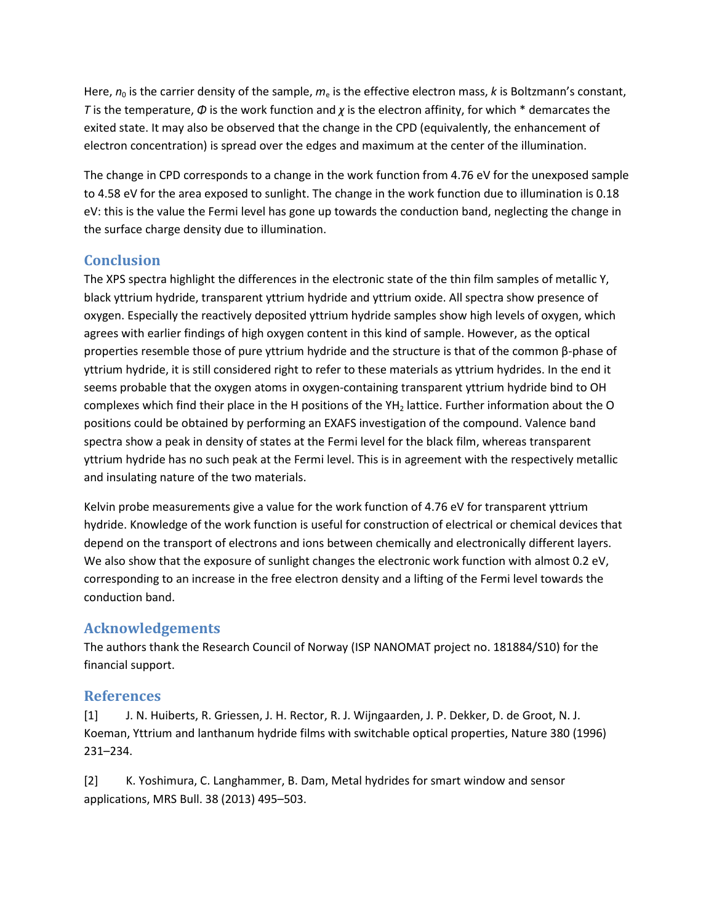Here,  $n_0$  is the carrier density of the sample,  $m_e$  is the effective electron mass, *k* is Boltzmann's constant, *T* is the temperature, *Φ* is the work function and *χ* is the electron affinity, for which \* demarcates the exited state. It may also be observed that the change in the CPD (equivalently, the enhancement of electron concentration) is spread over the edges and maximum at the center of the illumination.

The change in CPD corresponds to a change in the work function from 4.76 eV for the unexposed sample to 4.58 eV for the area exposed to sunlight. The change in the work function due to illumination is 0.18 eV: this is the value the Fermi level has gone up towards the conduction band, neglecting the change in the surface charge density due to illumination.

## **Conclusion**

The XPS spectra highlight the differences in the electronic state of the thin film samples of metallic Y, black yttrium hydride, transparent yttrium hydride and yttrium oxide. All spectra show presence of oxygen. Especially the reactively deposited yttrium hydride samples show high levels of oxygen, which agrees with earlier findings of high oxygen content in this kind of sample. However, as the optical properties resemble those of pure yttrium hydride and the structure is that of the common β-phase of yttrium hydride, it is still considered right to refer to these materials as yttrium hydrides. In the end it seems probable that the oxygen atoms in oxygen-containing transparent yttrium hydride bind to OH complexes which find their place in the H positions of the  $YH<sub>2</sub>$  lattice. Further information about the O positions could be obtained by performing an EXAFS investigation of the compound. Valence band spectra show a peak in density of states at the Fermi level for the black film, whereas transparent yttrium hydride has no such peak at the Fermi level. This is in agreement with the respectively metallic and insulating nature of the two materials.

Kelvin probe measurements give a value for the work function of 4.76 eV for transparent yttrium hydride. Knowledge of the work function is useful for construction of electrical or chemical devices that depend on the transport of electrons and ions between chemically and electronically different layers. We also show that the exposure of sunlight changes the electronic work function with almost 0.2 eV, corresponding to an increase in the free electron density and a lifting of the Fermi level towards the conduction band.

# **Acknowledgements**

The authors thank the Research Council of Norway (ISP NANOMAT project no. 181884/S10) for the financial support.

### **References**

[1] J. N. Huiberts, R. Griessen, J. H. Rector, R. J. Wijngaarden, J. P. Dekker, D. de Groot, N. J. Koeman, Yttrium and lanthanum hydride films with switchable optical properties, Nature 380 (1996) 231–234.

[2] K. Yoshimura, C. Langhammer, B. Dam, Metal hydrides for smart window and sensor applications, MRS Bull. 38 (2013) 495–503.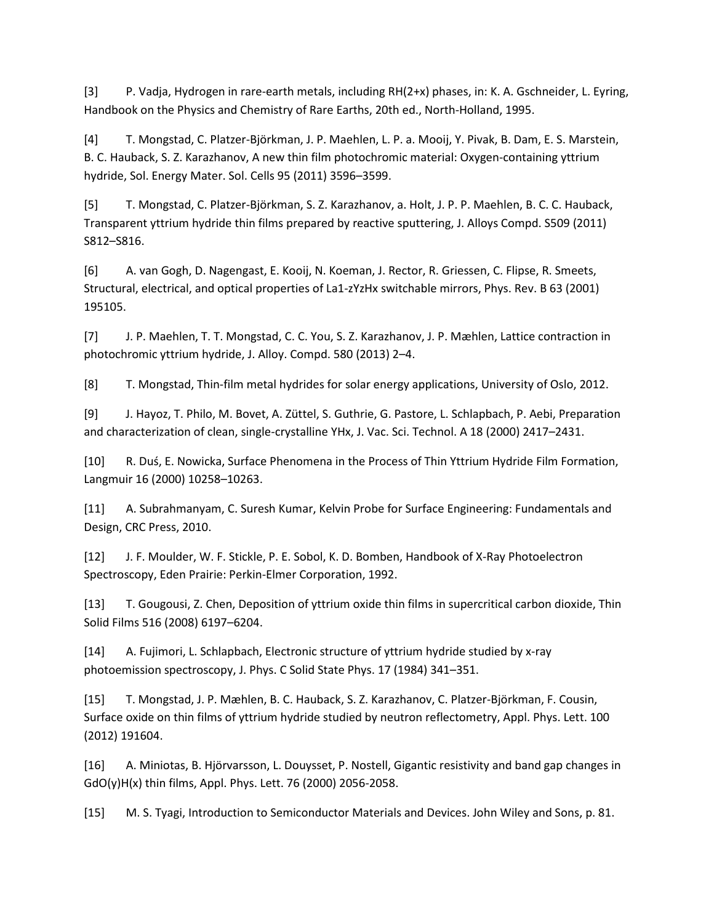[3] P. Vadja, Hydrogen in rare-earth metals, including RH(2+x) phases, in: K. A. Gschneider, L. Eyring, Handbook on the Physics and Chemistry of Rare Earths, 20th ed., North-Holland, 1995.

[4] T. Mongstad, C. Platzer-Björkman, J. P. Maehlen, L. P. a. Mooij, Y. Pivak, B. Dam, E. S. Marstein, B. C. Hauback, S. Z. Karazhanov, A new thin film photochromic material: Oxygen-containing yttrium hydride, Sol. Energy Mater. Sol. Cells 95 (2011) 3596–3599.

[5] T. Mongstad, C. Platzer-Björkman, S. Z. Karazhanov, a. Holt, J. P. P. Maehlen, B. C. C. Hauback, Transparent yttrium hydride thin films prepared by reactive sputtering, J. Alloys Compd. S509 (2011) S812–S816.

[6] A. van Gogh, D. Nagengast, E. Kooij, N. Koeman, J. Rector, R. Griessen, C. Flipse, R. Smeets, Structural, electrical, and optical properties of La1-zYzHx switchable mirrors, Phys. Rev. B 63 (2001) 195105.

[7] J. P. Maehlen, T. T. Mongstad, C. C. You, S. Z. Karazhanov, J. P. Mæhlen, Lattice contraction in photochromic yttrium hydride, J. Alloy. Compd. 580 (2013) 2–4.

[8] T. Mongstad, Thin-film metal hydrides for solar energy applications, University of Oslo, 2012.

[9] J. Hayoz, T. Philo, M. Bovet, A. Züttel, S. Guthrie, G. Pastore, L. Schlapbach, P. Aebi, Preparation and characterization of clean, single-crystalline YHx, J. Vac. Sci. Technol. A 18 (2000) 2417–2431.

[10] R. Duś, E. Nowicka, Surface Phenomena in the Process of Thin Yttrium Hydride Film Formation, Langmuir 16 (2000) 10258–10263.

[11] A. Subrahmanyam, C. Suresh Kumar, Kelvin Probe for Surface Engineering: Fundamentals and Design, CRC Press, 2010.

[12] J. F. Moulder, W. F. Stickle, P. E. Sobol, K. D. Bomben, Handbook of X-Ray Photoelectron Spectroscopy, Eden Prairie: Perkin-Elmer Corporation, 1992.

[13] T. Gougousi, Z. Chen, Deposition of yttrium oxide thin films in supercritical carbon dioxide, Thin Solid Films 516 (2008) 6197–6204.

[14] A. Fujimori, L. Schlapbach, Electronic structure of yttrium hydride studied by x-ray photoemission spectroscopy, J. Phys. C Solid State Phys. 17 (1984) 341–351.

[15] T. Mongstad, J. P. Mæhlen, B. C. Hauback, S. Z. Karazhanov, C. Platzer-Björkman, F. Cousin, Surface oxide on thin films of yttrium hydride studied by neutron reflectometry, Appl. Phys. Lett. 100 (2012) 191604.

[16] A. Miniotas, B. Hjörvarsson, L. Douysset, P. Nostell, Gigantic resistivity and band gap changes in GdO(y)H(x) thin films, Appl. Phys. Lett. 76 (2000) 2056-2058.

[15] M. S. Tyagi, Introduction to Semiconductor Materials and Devices. John Wiley and Sons, p. 81.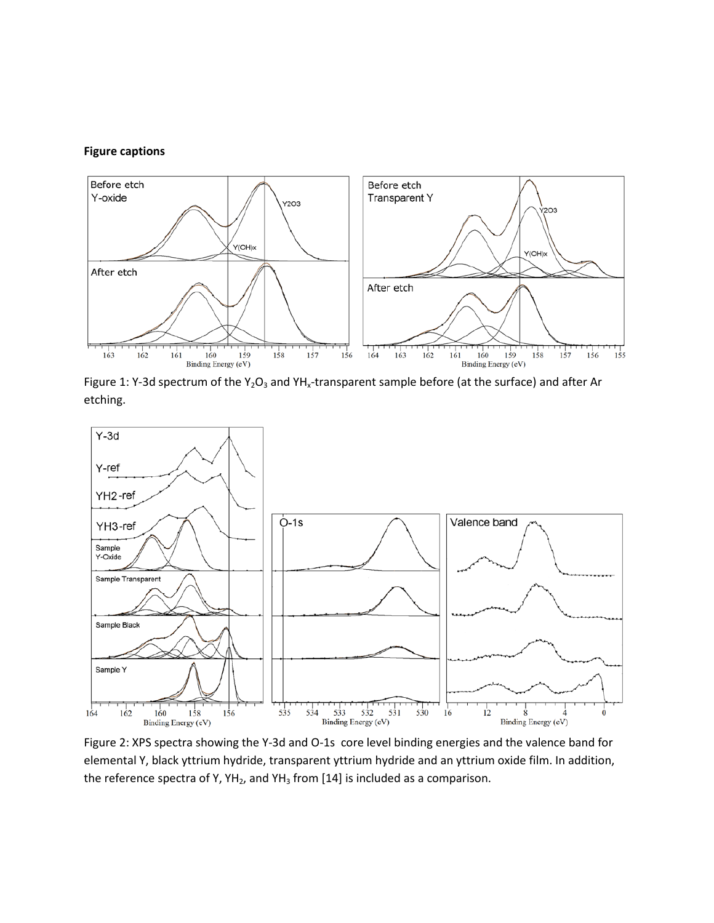#### **Figure captions**



Figure 1: Y-3d spectrum of the Y<sub>2</sub>O<sub>3</sub> and YH<sub>x</sub>-transparent sample before (at the surface) and after Ar etching.



Figure 2: XPS spectra showing the Y-3d and O-1s core level binding energies and the valence band for elemental Y, black yttrium hydride, transparent yttrium hydride and an yttrium oxide film. In addition, the reference spectra of Y,  $YH_2$ , and  $YH_3$  from [14] is included as a comparison.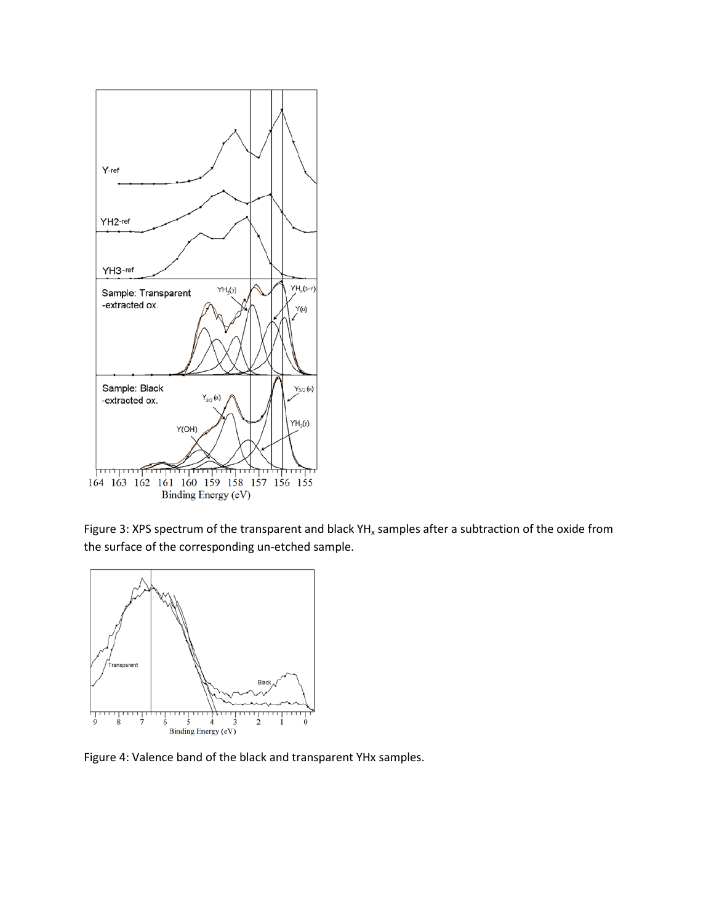

Figure 3: XPS spectrum of the transparent and black  $YH_x$  samples after a subtraction of the oxide from the surface of the corresponding un-etched sample.



Figure 4: Valence band of the black and transparent YHx samples.